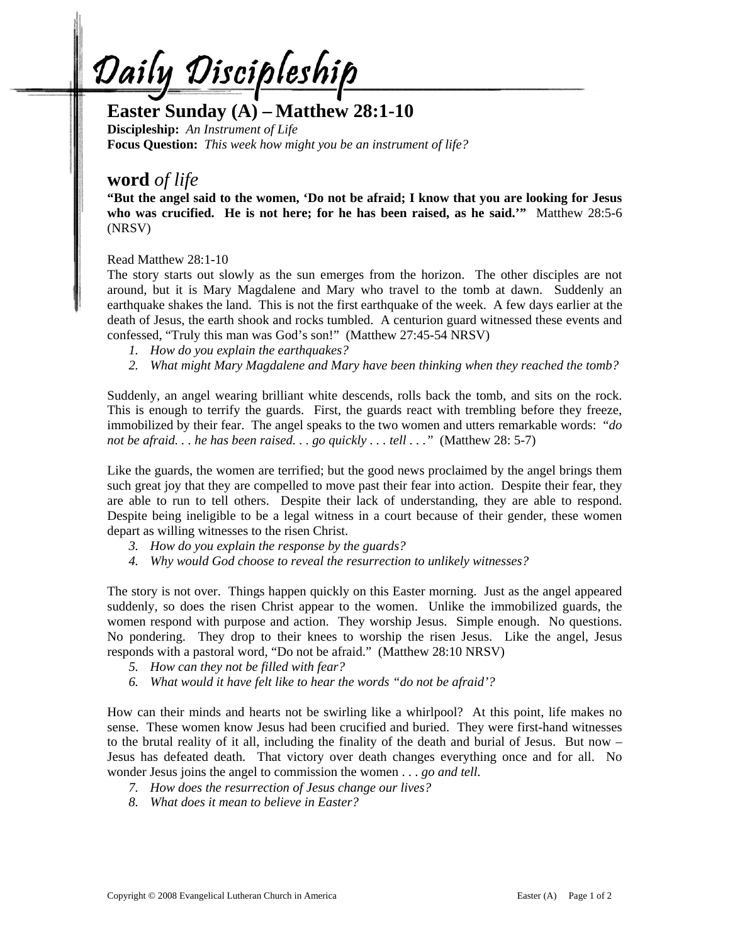<u>Daily Discipleship</u>

## **Easter Sunday (A) – Matthew 28:1-10**

**Discipleship:** *An Instrument of Life*  **Focus Question:** *This week how might you be an instrument of life?* 

## **word** *of life*

**"But the angel said to the women, 'Do not be afraid; I know that you are looking for Jesus who was crucified. He is not here; for he has been raised, as he said.'"** Matthew 28:5-6 (NRSV)

Read Matthew 28:1-10

The story starts out slowly as the sun emerges from the horizon. The other disciples are not around, but it is Mary Magdalene and Mary who travel to the tomb at dawn. Suddenly an earthquake shakes the land. This is not the first earthquake of the week. A few days earlier at the death of Jesus, the earth shook and rocks tumbled. A centurion guard witnessed these events and confessed, "Truly this man was God's son!" (Matthew 27:45-54 NRSV)

- *1. How do you explain the earthquakes?*
- *2. What might Mary Magdalene and Mary have been thinking when they reached the tomb?*

Suddenly, an angel wearing brilliant white descends, rolls back the tomb, and sits on the rock. This is enough to terrify the guards. First, the guards react with trembling before they freeze, immobilized by their fear. The angel speaks to the two women and utters remarkable words: "*do not be afraid. . . he has been raised. . . go quickly . . . tell . . ."* (Matthew 28: 5-7)

Like the guards, the women are terrified; but the good news proclaimed by the angel brings them such great joy that they are compelled to move past their fear into action. Despite their fear, they are able to run to tell others. Despite their lack of understanding, they are able to respond. Despite being ineligible to be a legal witness in a court because of their gender, these women depart as willing witnesses to the risen Christ.

- *3. How do you explain the response by the guards?*
- *4. Why would God choose to reveal the resurrection to unlikely witnesses?*

The story is not over. Things happen quickly on this Easter morning. Just as the angel appeared suddenly, so does the risen Christ appear to the women. Unlike the immobilized guards, the women respond with purpose and action. They worship Jesus. Simple enough. No questions. No pondering. They drop to their knees to worship the risen Jesus. Like the angel, Jesus responds with a pastoral word, "Do not be afraid." (Matthew 28:10 NRSV)

- *5. How can they not be filled with fear?*
- *6. What would it have felt like to hear the words "do not be afraid'?*

How can their minds and hearts not be swirling like a whirlpool? At this point, life makes no sense. These women know Jesus had been crucified and buried. They were first-hand witnesses to the brutal reality of it all, including the finality of the death and burial of Jesus. But now – Jesus has defeated death. That victory over death changes everything once and for all. No wonder Jesus joins the angel to commission the women . . . *go and tell.* 

- *7. How does the resurrection of Jesus change our lives?*
- *8. What does it mean to believe in Easter?*